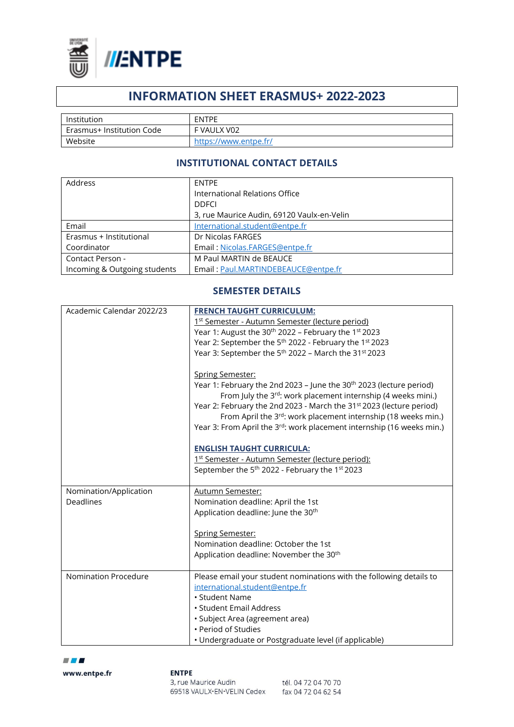

# **INFORMATION SHEET ERASMUS+ 2022-2023**

| Institution               | <b>ENTPE</b>          |
|---------------------------|-----------------------|
| Erasmus+ Institution Code | F VAULX V02           |
| Website                   | https://www.entpe.fr/ |

# **INSTITUTIONAL CONTACT DETAILS**

| Address                      | <b>ENTPE</b>                               |
|------------------------------|--------------------------------------------|
|                              | International Relations Office             |
|                              | <b>DDFCI</b>                               |
|                              | 3, rue Maurice Audin, 69120 Vaulx-en-Velin |
| Email                        | International.student@entpe.fr             |
| Erasmus + Institutional      | Dr Nicolas FARGES                          |
| Coordinator                  | Email: Nicolas.FARGES@entpe.fr             |
| Contact Person -             | M Paul MARTIN de BEAUCE                    |
| Incoming & Outgoing students | Email: Paul.MARTINDEBEAUCE@entpe.fr        |

### **SEMESTER DETAILS**

| Academic Calendar 2022/23 | <b>FRENCH TAUGHT CURRICULUM:</b>                                                   |
|---------------------------|------------------------------------------------------------------------------------|
|                           | 1st Semester - Autumn Semester (lecture period)                                    |
|                           | Year 1: August the 30 <sup>th</sup> 2022 - February the 1st 2023                   |
|                           | Year 2: September the 5 <sup>th</sup> 2022 - February the 1st 2023                 |
|                           | Year 3: September the 5 <sup>th</sup> 2022 - March the 31 <sup>st</sup> 2023       |
|                           |                                                                                    |
|                           | <b>Spring Semester:</b>                                                            |
|                           | Year 1: February the 2nd 2023 - June the 30 <sup>th</sup> 2023 (lecture period)    |
|                           | From July the 3rd: work placement internship (4 weeks mini.)                       |
|                           | Year 2: February the 2nd 2023 - March the 31 <sup>st</sup> 2023 (lecture period)   |
|                           | From April the 3rd: work placement internship (18 weeks min.)                      |
|                           | Year 3: From April the 3 <sup>rd</sup> : work placement internship (16 weeks min.) |
|                           |                                                                                    |
|                           | <b>ENGLISH TAUGHT CURRICULA:</b>                                                   |
|                           | 1st Semester - Autumn Semester (lecture period):                                   |
|                           | September the 5 <sup>th</sup> 2022 - February the 1 <sup>st</sup> 2023             |
|                           |                                                                                    |
| Nomination/Application    | <b>Autumn Semester:</b>                                                            |
| <b>Deadlines</b>          | Nomination deadline: April the 1st                                                 |
|                           | Application deadline: June the 30 <sup>th</sup>                                    |
|                           | <b>Spring Semester:</b>                                                            |
|                           | Nomination deadline: October the 1st                                               |
|                           | Application deadline: November the 30 <sup>th</sup>                                |
|                           |                                                                                    |
| Nomination Procedure      | Please email your student nominations with the following details to                |
|                           | international.student@entpe.fr                                                     |
|                           | • Student Name                                                                     |
|                           | • Student Email Address                                                            |
|                           | · Subject Area (agreement area)                                                    |
|                           | • Period of Studies                                                                |
|                           | • Undergraduate or Postgraduate level (if applicable)                              |